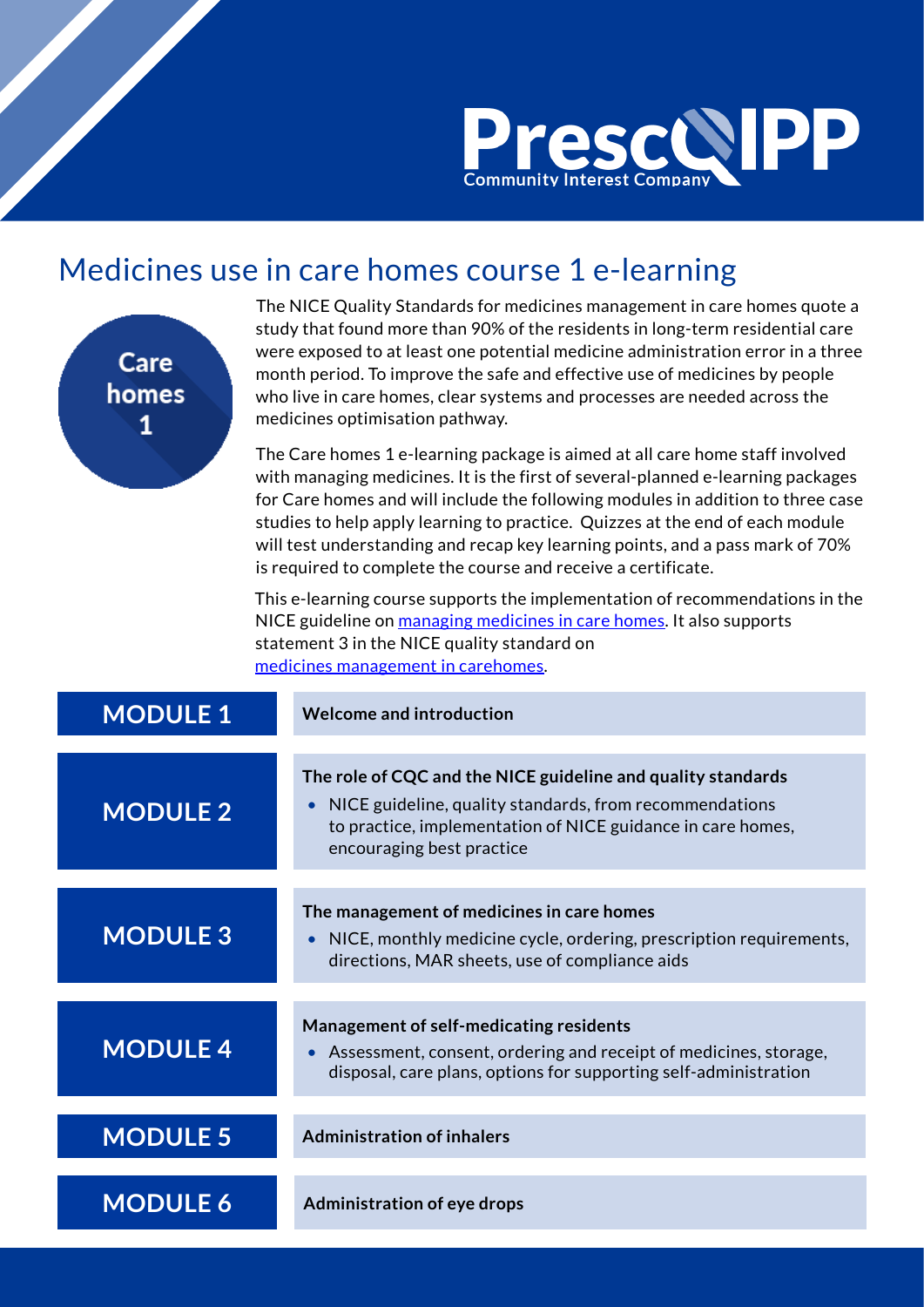

## Medicines use in care homes course 1 e-learning



The NICE Quality Standards for medicines management in care homes quote a study that found more than 90% of the residents in long-term residential care were exposed to at least one potential medicine administration error in a three month period. To improve the safe and effective use of medicines by people who live in care homes, clear systems and processes are needed across the medicines optimisation pathway.

The Care homes 1 e-learning package is aimed at all care home staff involved with managing medicines. It is the first of several-planned e-learning packages for Care homes and will include the following modules in addition to three case studies to help apply learning to practice. Quizzes at the end of each module will test understanding and recap key learning points, and a pass mark of 70% is required to complete the course and receive a certificate.

 This e-learning course supports the implementation of recommendations in the NICE guideline on [managing medicines in care homes.](https://www.nice.org.uk/guidance/sc1) It also supports statement 3 in the NICE quality standard on [medicines management in carehomes.](https://www.nice.org.uk/guidance/qs8)

| <b>MODULE 1</b> | <b>Welcome and introduction</b>                                                                                                                                                                                     |
|-----------------|---------------------------------------------------------------------------------------------------------------------------------------------------------------------------------------------------------------------|
| <b>MODULE 2</b> | The role of CQC and the NICE guideline and quality standards<br>NICE guideline, quality standards, from recommendations<br>to practice, implementation of NICE guidance in care homes,<br>encouraging best practice |
| <b>MODULE 3</b> | The management of medicines in care homes<br>NICE, monthly medicine cycle, ordering, prescription requirements,<br>$\bullet$<br>directions, MAR sheets, use of compliance aids                                      |
| <b>MODULE 4</b> | Management of self-medicating residents<br>Assessment, consent, ordering and receipt of medicines, storage,<br>$\bullet$<br>disposal, care plans, options for supporting self-administration                        |
| <b>MODULE 5</b> | <b>Administration of inhalers</b>                                                                                                                                                                                   |
| <b>MODULE 6</b> | <b>Administration of eye drops</b>                                                                                                                                                                                  |